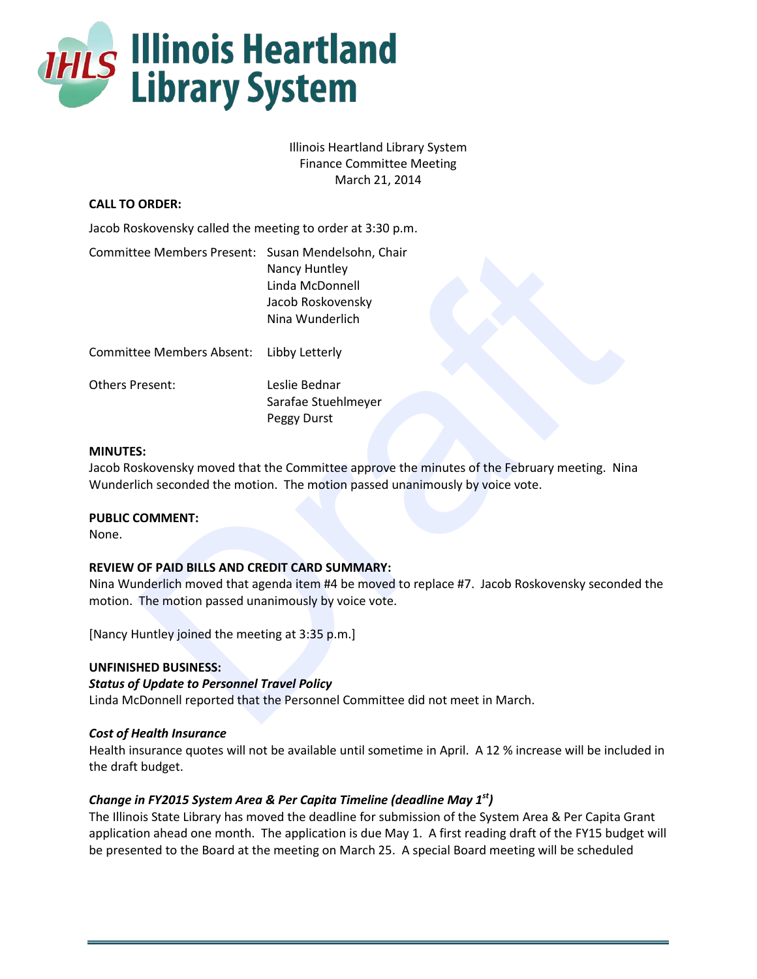

Illinois Heartland Library System Finance Committee Meeting March 21, 2014

## **CALL TO ORDER:**

Jacob Roskovensky called the meeting to order at 3:30 p.m.

| Committee Members Present: Susan Mendelsohn, Chair                                                           | Nancy Huntley<br>Linda McDonnell<br>Jacob Roskovensky<br>Nina Wunderlich                                                                                                     |  |  |  |
|--------------------------------------------------------------------------------------------------------------|------------------------------------------------------------------------------------------------------------------------------------------------------------------------------|--|--|--|
| <b>Committee Members Absent:</b>                                                                             | Libby Letterly                                                                                                                                                               |  |  |  |
| <b>Others Present:</b>                                                                                       | Leslie Bednar<br>Sarafae Stuehlmeyer<br>Peggy Durst                                                                                                                          |  |  |  |
| <b>MINUTES:</b><br><b>PUBLIC COMMENT:</b><br>None.                                                           | Jacob Roskovensky moved that the Committee approve the minutes of the February meeting. Nina<br>Wunderlich seconded the motion. The motion passed unanimously by voice vote. |  |  |  |
| <b>REVIEW OF PAID BILLS AND CREDIT CARD SUMMARY:</b><br>motion. The motion passed unanimously by voice vote. | Nina Wunderlich moved that agenda item #4 be moved to replace #7. Jacob Roskovensky seconded                                                                                 |  |  |  |
| [Nancy Huntley joined the meeting at 3:35 p.m.]                                                              |                                                                                                                                                                              |  |  |  |
| <b>UNFINISHED BUSINESS:</b><br><b>Status of Update to Personnel Travel Policy</b>                            | Linda McDonnell reported that the Personnel Committee did not meet in March.                                                                                                 |  |  |  |

#### **MINUTES:**

## **PUBLIC COMMENT:**

## **REVIEW OF PAID BILLS AND CREDIT CARD SUMMARY:**

#### **UNFINISHED BUSINESS:**

## *Status of Update to Personnel Travel Policy*

## *Cost of Health Insurance*

Health insurance quotes will not be available until sometime in April. A 12 % increase will be included in the draft budget.

## *Change in FY2015 System Area & Per Capita Timeline (deadline May 1st)*

The Illinois State Library has moved the deadline for submission of the System Area & Per Capita Grant application ahead one month. The application is due May 1. A first reading draft of the FY15 budget will be presented to the Board at the meeting on March 25. A special Board meeting will be scheduled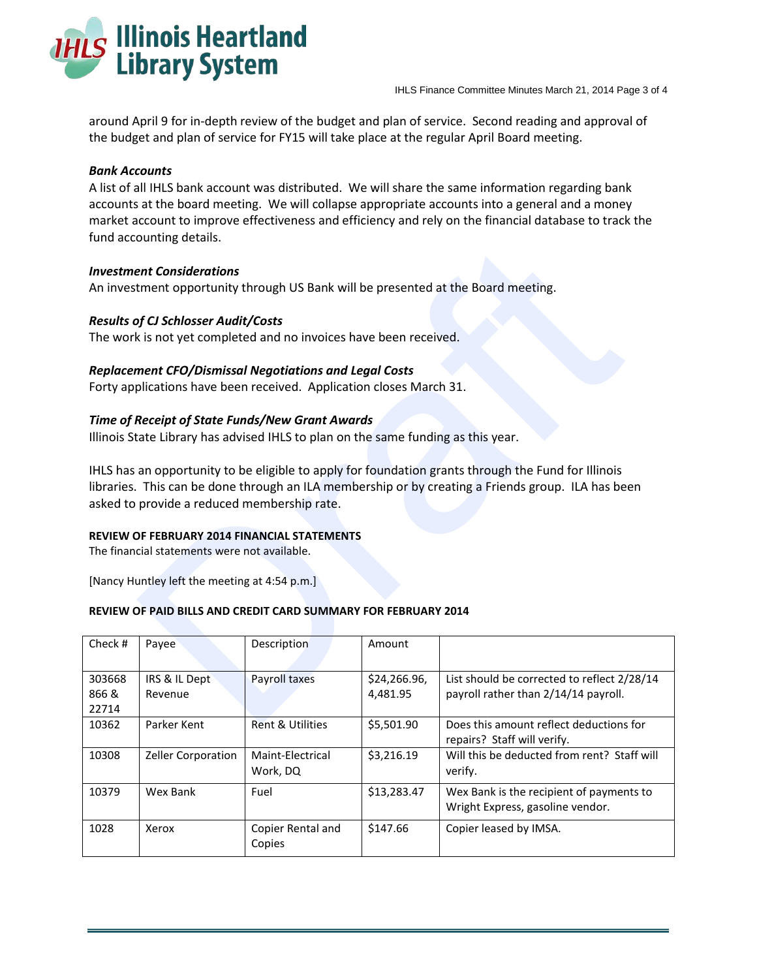

around April 9 for in-depth review of the budget and plan of service. Second reading and approval of the budget and plan of service for FY15 will take place at the regular April Board meeting.

## *Bank Accounts*

A list of all IHLS bank account was distributed. We will share the same information regarding bank accounts at the board meeting. We will collapse appropriate accounts into a general and a money market account to improve effectiveness and efficiency and rely on the financial database to track the fund accounting details.

## *Investment Considerations*

## *Results of CJ Schlosser Audit/Costs*

#### *Replacement CFO/Dismissal Negotiations and Legal Costs*

#### *Time of Receipt of State Funds/New Grant Awards*

#### **REVIEW OF FEBRUARY 2014 FINANCIAL STATEMENTS**

#### **REVIEW OF PAID BILLS AND CREDIT CARD SUMMARY FOR FEBRUARY 2014**

|                                                                                                                                                                                                                                                          | Turiu accounting uctails. |                              |                          |                                                                                     |  |  |  |
|----------------------------------------------------------------------------------------------------------------------------------------------------------------------------------------------------------------------------------------------------------|---------------------------|------------------------------|--------------------------|-------------------------------------------------------------------------------------|--|--|--|
| <b>Investment Considerations</b><br>An investment opportunity through US Bank will be presented at the Board meeting.                                                                                                                                    |                           |                              |                          |                                                                                     |  |  |  |
| <b>Results of CJ Schlosser Audit/Costs</b><br>The work is not yet completed and no invoices have been received.                                                                                                                                          |                           |                              |                          |                                                                                     |  |  |  |
| <b>Replacement CFO/Dismissal Negotiations and Legal Costs</b><br>Forty applications have been received. Application closes March 31.                                                                                                                     |                           |                              |                          |                                                                                     |  |  |  |
| Time of Receipt of State Funds/New Grant Awards<br>Illinois State Library has advised IHLS to plan on the same funding as this year.                                                                                                                     |                           |                              |                          |                                                                                     |  |  |  |
| IHLS has an opportunity to be eligible to apply for foundation grants through the Fund for Illinois<br>libraries. This can be done through an ILA membership or by creating a Friends group. ILA has been<br>asked to provide a reduced membership rate. |                           |                              |                          |                                                                                     |  |  |  |
| <b>REVIEW OF FEBRUARY 2014 FINANCIAL STATEMENTS</b><br>The financial statements were not available.                                                                                                                                                      |                           |                              |                          |                                                                                     |  |  |  |
| [Nancy Huntley left the meeting at 4:54 p.m.]                                                                                                                                                                                                            |                           |                              |                          |                                                                                     |  |  |  |
| REVIEW OF PAID BILLS AND CREDIT CARD SUMMARY FOR FEBRUARY 2014                                                                                                                                                                                           |                           |                              |                          |                                                                                     |  |  |  |
| Check #                                                                                                                                                                                                                                                  | Payee                     | Description                  | Amount                   |                                                                                     |  |  |  |
| 303668<br>866 &<br>22714                                                                                                                                                                                                                                 | IRS & IL Dept<br>Revenue  | Payroll taxes                | \$24,266.96,<br>4,481.95 | List should be corrected to reflect 2/28/14<br>payroll rather than 2/14/14 payroll. |  |  |  |
| 10362                                                                                                                                                                                                                                                    | Parker Kent               | <b>Rent &amp; Utilities</b>  | \$5,501.90               | Does this amount reflect deductions for<br>repairs? Staff will verify.              |  |  |  |
| 10308                                                                                                                                                                                                                                                    | Zeller Corporation        | Maint-Electrical<br>Work, DQ | \$3,216.19               | Will this be deducted from rent? Staff will<br>verify.                              |  |  |  |
| 10379                                                                                                                                                                                                                                                    | Wex Bank                  | Fuel                         | \$13,283.47              | Wex Bank is the recipient of payments to<br>Wright Express, gasoline vendor.        |  |  |  |
| 1028                                                                                                                                                                                                                                                     | Xerox                     | Copier Rental and<br>Copies  | \$147.66                 | Copier leased by IMSA.                                                              |  |  |  |